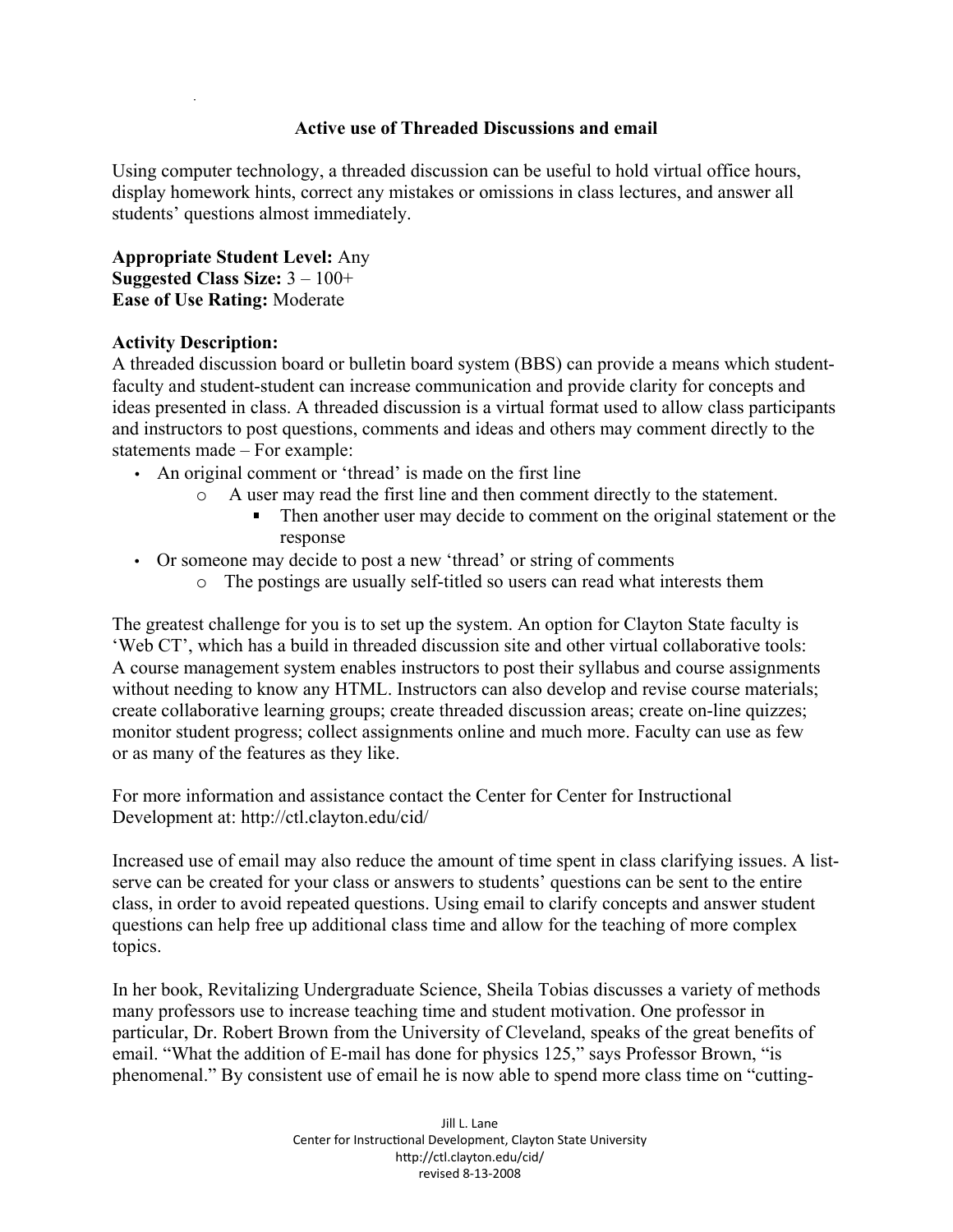## **Active use of Threaded Discussions and email**

Using computer technology, a threaded discussion can be useful to hold virtual office hours, display homework hints, correct any mistakes or omissions in class lectures, and answer all students' questions almost immediately.

**Appropriate Student Level:** Any **Suggested Class Size:** 3 – 100+ **Ease of Use Rating:** Moderate

## **Activity Description:**

A threaded discussion board or bulletin board system (BBS) can provide a means which studentfaculty and student-student can increase communication and provide clarity for concepts and ideas presented in class. A threaded discussion is a virtual format used to allow class participants and instructors to post questions, comments and ideas and others may comment directly to the statements made – For example:

- An original comment or 'thread' is made on the first line
	- o A user may read the first line and then comment directly to the statement.
		- Then another user may decide to comment on the original statement or the response
- Or someone may decide to post a new 'thread' or string of comments
	- o The postings are usually self-titled so users can read what interests them

The greatest challenge for you is to set up the system. An option for Clayton State faculty is 'Web CT', which has a build in threaded discussion site and other virtual collaborative tools: A course management system enables instructors to post their syllabus and course assignments without needing to know any HTML. Instructors can also develop and revise course materials; create collaborative learning groups; create threaded discussion areas; create on-line quizzes; monitor student progress; collect assignments online and much more. Faculty can use as few or as many of the features as they like.

For more information and assistance contact the Center for Center for Instructional Development at: http://ctl.clayton.edu/cid/

Increased use of email may also reduce the amount of time spent in class clarifying issues. A listserve can be created for your class or answers to students' questions can be sent to the entire class, in order to avoid repeated questions. Using email to clarify concepts and answer student questions can help free up additional class time and allow for the teaching of more complex topics.

In her book, Revitalizing Undergraduate Science, Sheila Tobias discusses a variety of methods many professors use to increase teaching time and student motivation. One professor in particular, Dr. Robert Brown from the University of Cleveland, speaks of the great benefits of email. "What the addition of E-mail has done for physics 125," says Professor Brown, "is phenomenal." By consistent use of email he is now able to spend more class time on "cutting